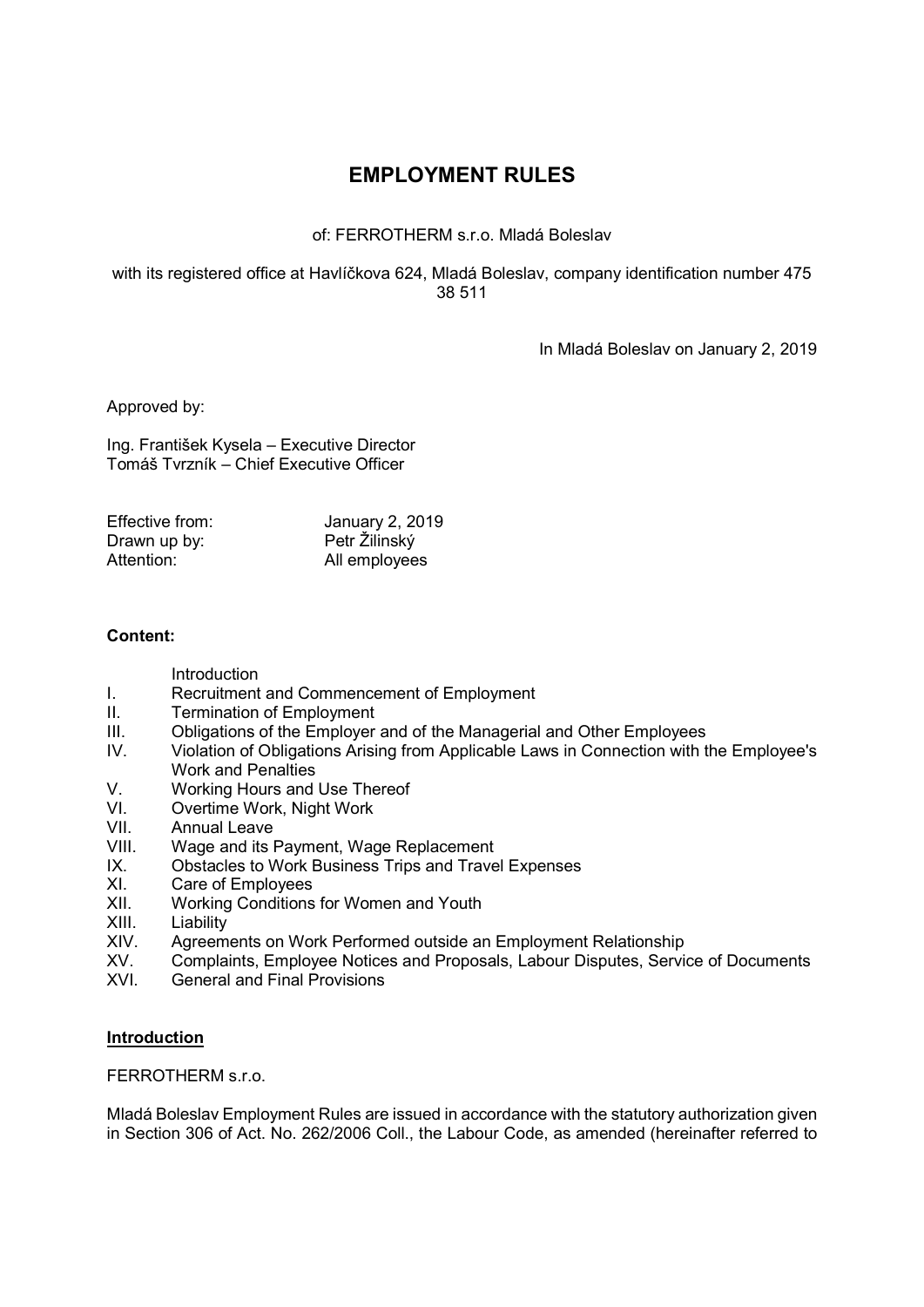# EMPLOYMENT RULES

# of: FERROTHERM s.r.o. Mladá Boleslav

### with its registered office at Havlíčkova 624, Mladá Boleslav, company identification number 475 38 511

In Mladá Boleslav on January 2, 2019

Approved by:

Ing. František Kysela – Executive Director Tomáš Tvrzník – Chief Executive Officer

| Effective from: | <b>January 2, 2019</b> |
|-----------------|------------------------|
| Drawn up by:    | Petr Žilinský          |
| Attention:      | All employees          |

# Content:

Introduction

- I. Recruitment and Commencement of Employment
- II. Termination of Employment
- III. Obligations of the Employer and of the Managerial and Other Employees
- IV. Violation of Obligations Arising from Applicable Laws in Connection with the Employee's Work and Penalties
- 
- V. Working Hours and Use Thereof<br>VI. Overtime Work, Night Work Overtime Work, Night Work
- VII. Annual Leave
- VIII. Wage and its Payment, Wage Replacement
- IX. Obstacles to Work Business Trips and Travel Expenses
- XI. Care of Employees
- XII. Working Conditions for Women and Youth
- XIII. Liability
- XIV. Agreements on Work Performed outside an Employment Relationship<br>XV. Complaints. Employee Notices and Proposals. Labour Disputes. Servic
- Complaints, Employee Notices and Proposals, Labour Disputes, Service of Documents
- XVI. General and Final Provisions

### **Introduction**

FERROTHERM s.r.o.

Mladá Boleslav Employment Rules are issued in accordance with the statutory authorization given in Section 306 of Act. No. 262/2006 Coll., the Labour Code, as amended (hereinafter referred to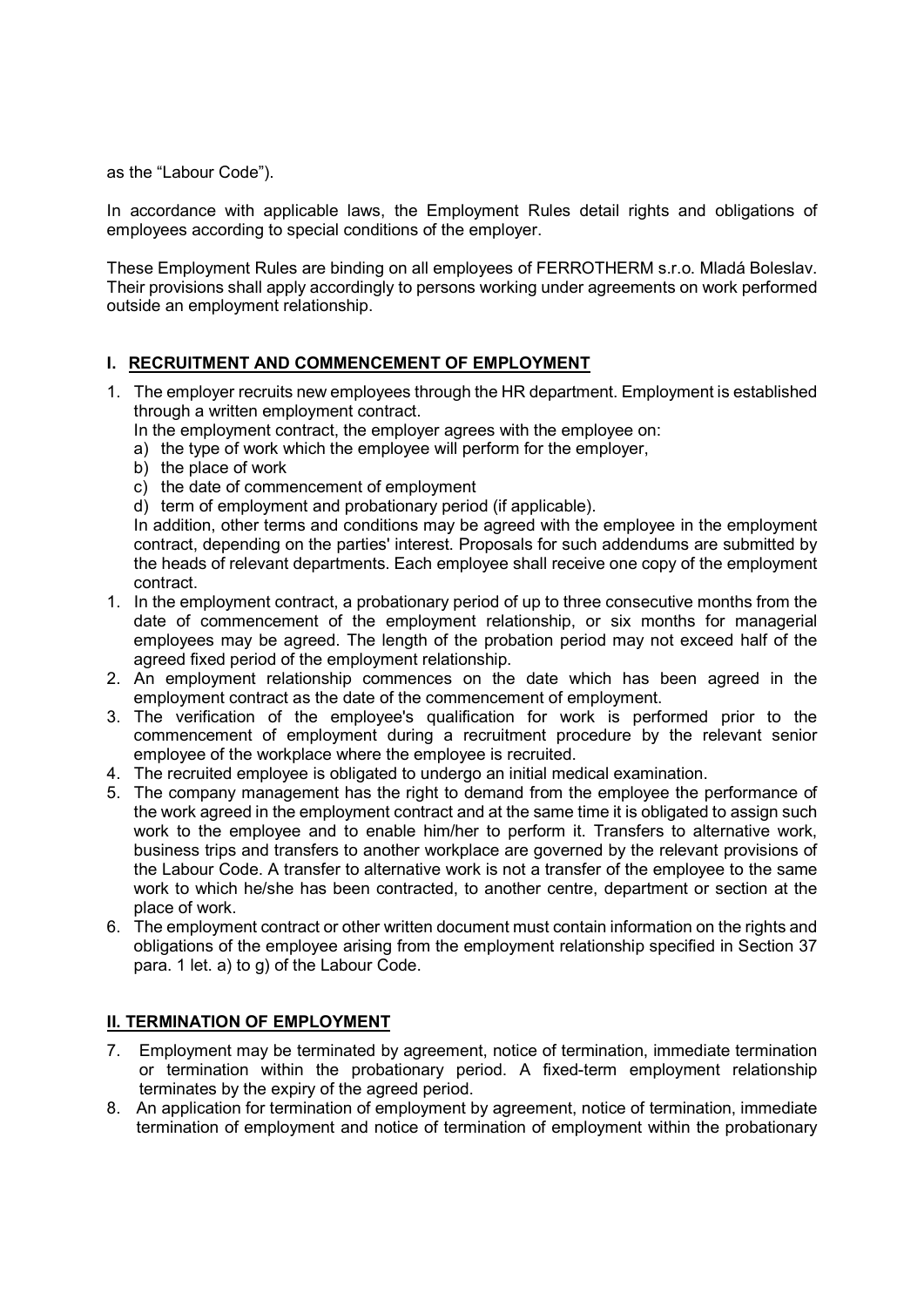as the "Labour Code").

In accordance with applicable laws, the Employment Rules detail rights and obligations of employees according to special conditions of the employer.

These Employment Rules are binding on all employees of FERROTHERM s.r.o. Mladá Boleslav. Their provisions shall apply accordingly to persons working under agreements on work performed outside an employment relationship.

# I. RECRUITMENT AND COMMENCEMENT OF EMPLOYMENT

- 1. The employer recruits new employees through the HR department. Employment is established through a written employment contract.
	- In the employment contract, the employer agrees with the employee on:
	- a) the type of work which the employee will perform for the employer,
	- b) the place of work
	- c) the date of commencement of employment
	- d) term of employment and probationary period (if applicable).

In addition, other terms and conditions may be agreed with the employee in the employment contract, depending on the parties' interest. Proposals for such addendums are submitted by the heads of relevant departments. Each employee shall receive one copy of the employment contract.

- 1. In the employment contract, a probationary period of up to three consecutive months from the date of commencement of the employment relationship, or six months for managerial employees may be agreed. The length of the probation period may not exceed half of the agreed fixed period of the employment relationship.
- 2. An employment relationship commences on the date which has been agreed in the employment contract as the date of the commencement of employment.
- 3. The verification of the employee's qualification for work is performed prior to the commencement of employment during a recruitment procedure by the relevant senior employee of the workplace where the employee is recruited.
- 4. The recruited employee is obligated to undergo an initial medical examination.
- 5. The company management has the right to demand from the employee the performance of the work agreed in the employment contract and at the same time it is obligated to assign such work to the employee and to enable him/her to perform it. Transfers to alternative work, business trips and transfers to another workplace are governed by the relevant provisions of the Labour Code. A transfer to alternative work is not a transfer of the employee to the same work to which he/she has been contracted, to another centre, department or section at the place of work.
- 6. The employment contract or other written document must contain information on the rights and obligations of the employee arising from the employment relationship specified in Section 37 para. 1 let. a) to g) of the Labour Code.

# II. TERMINATION OF EMPLOYMENT

- 7. Employment may be terminated by agreement, notice of termination, immediate termination or termination within the probationary period. A fixed-term employment relationship terminates by the expiry of the agreed period.
- 8. An application for termination of employment by agreement, notice of termination, immediate termination of employment and notice of termination of employment within the probationary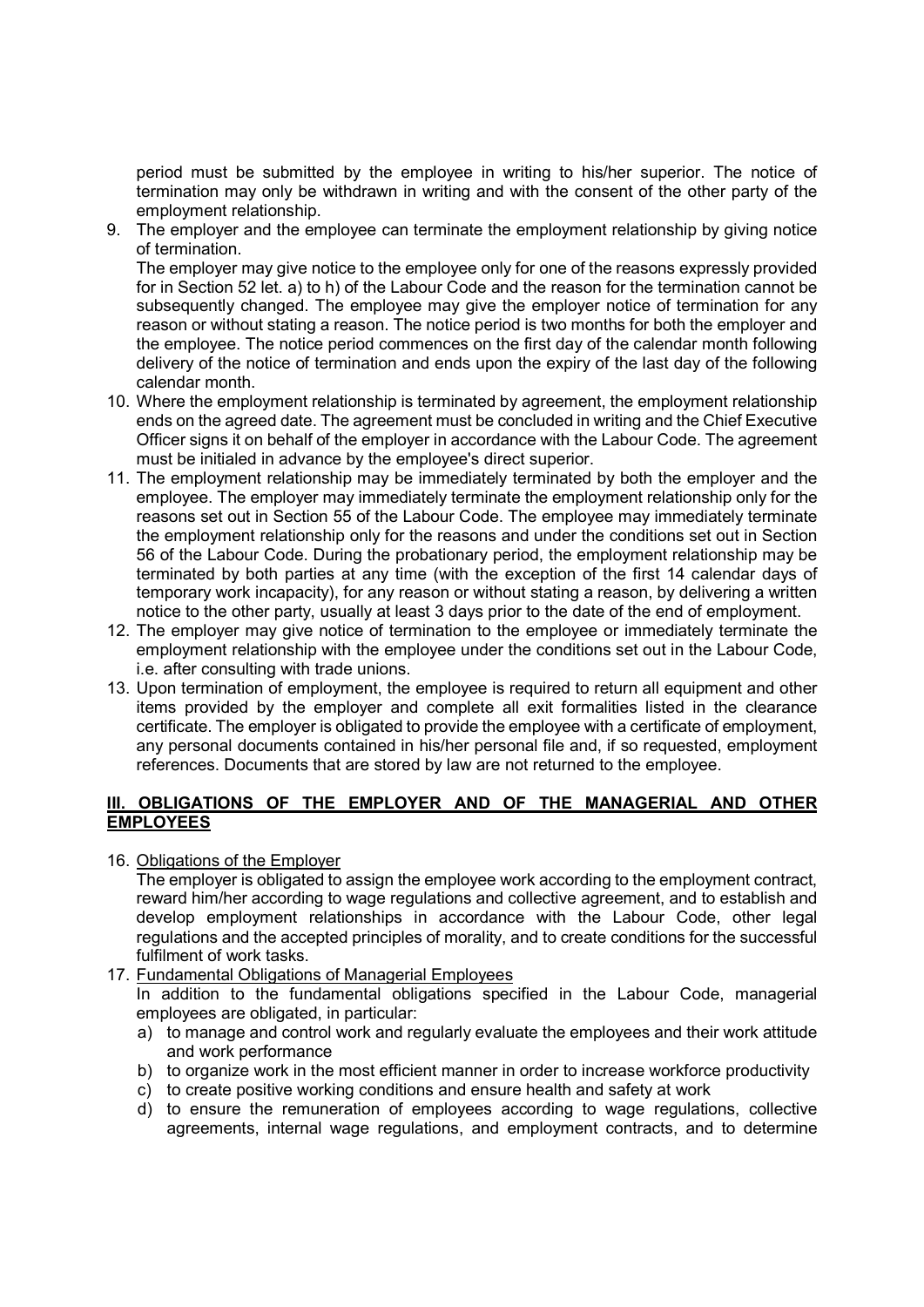period must be submitted by the employee in writing to his/her superior. The notice of termination may only be withdrawn in writing and with the consent of the other party of the employment relationship.

9. The employer and the employee can terminate the employment relationship by giving notice of termination.

The employer may give notice to the employee only for one of the reasons expressly provided for in Section 52 let. a) to h) of the Labour Code and the reason for the termination cannot be subsequently changed. The employee may give the employer notice of termination for any reason or without stating a reason. The notice period is two months for both the employer and the employee. The notice period commences on the first day of the calendar month following delivery of the notice of termination and ends upon the expiry of the last day of the following calendar month.

- 10. Where the employment relationship is terminated by agreement, the employment relationship ends on the agreed date. The agreement must be concluded in writing and the Chief Executive Officer signs it on behalf of the employer in accordance with the Labour Code. The agreement must be initialed in advance by the employee's direct superior.
- 11. The employment relationship may be immediately terminated by both the employer and the employee. The employer may immediately terminate the employment relationship only for the reasons set out in Section 55 of the Labour Code. The employee may immediately terminate the employment relationship only for the reasons and under the conditions set out in Section 56 of the Labour Code. During the probationary period, the employment relationship may be terminated by both parties at any time (with the exception of the first 14 calendar days of temporary work incapacity), for any reason or without stating a reason, by delivering a written notice to the other party, usually at least 3 days prior to the date of the end of employment.
- 12. The employer may give notice of termination to the employee or immediately terminate the employment relationship with the employee under the conditions set out in the Labour Code, i.e. after consulting with trade unions.
- 13. Upon termination of employment, the employee is required to return all equipment and other items provided by the employer and complete all exit formalities listed in the clearance certificate. The employer is obligated to provide the employee with a certificate of employment, any personal documents contained in his/her personal file and, if so requested, employment references. Documents that are stored by law are not returned to the employee.

# III. OBLIGATIONS OF THE EMPLOYER AND OF THE MANAGERIAL AND OTHER **EMPLOYEES**

16. Obligations of the Employer

The employer is obligated to assign the employee work according to the employment contract, reward him/her according to wage regulations and collective agreement, and to establish and develop employment relationships in accordance with the Labour Code, other legal regulations and the accepted principles of morality, and to create conditions for the successful fulfilment of work tasks.

17. Fundamental Obligations of Managerial Employees

In addition to the fundamental obligations specified in the Labour Code, managerial employees are obligated, in particular:

- a) to manage and control work and regularly evaluate the employees and their work attitude and work performance
- b) to organize work in the most efficient manner in order to increase workforce productivity
- c) to create positive working conditions and ensure health and safety at work
- d) to ensure the remuneration of employees according to wage regulations, collective agreements, internal wage regulations, and employment contracts, and to determine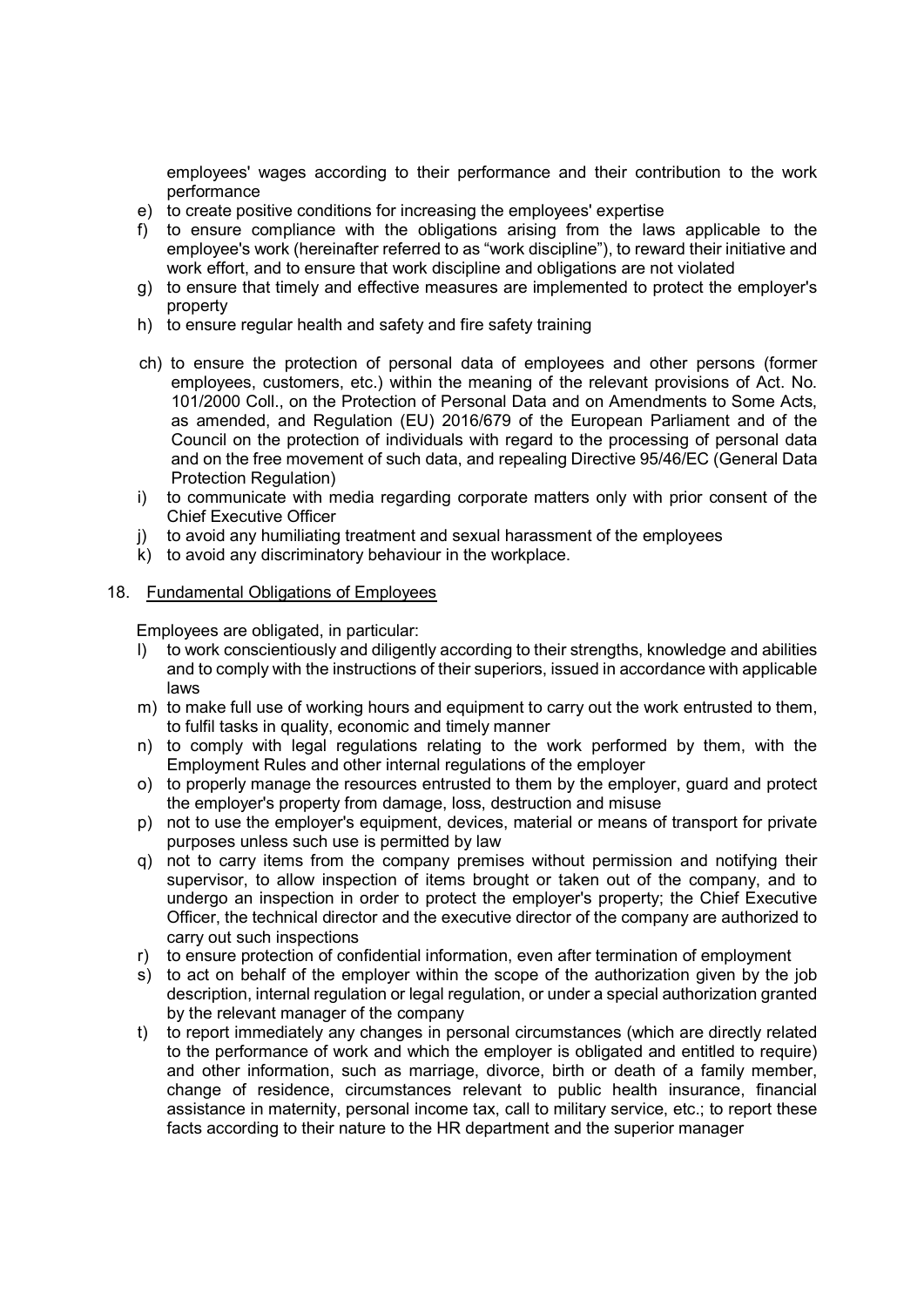employees' wages according to their performance and their contribution to the work performance

- e) to create positive conditions for increasing the employees' expertise
- f) to ensure compliance with the obligations arising from the laws applicable to the employee's work (hereinafter referred to as "work discipline"), to reward their initiative and work effort, and to ensure that work discipline and obligations are not violated
- g) to ensure that timely and effective measures are implemented to protect the employer's property
- h) to ensure regular health and safety and fire safety training
- ch) to ensure the protection of personal data of employees and other persons (former employees, customers, etc.) within the meaning of the relevant provisions of Act. No. 101/2000 Coll., on the Protection of Personal Data and on Amendments to Some Acts, as amended, and Regulation (EU) 2016/679 of the European Parliament and of the Council on the protection of individuals with regard to the processing of personal data and on the free movement of such data, and repealing Directive 95/46/EC (General Data Protection Regulation)
- i) to communicate with media regarding corporate matters only with prior consent of the Chief Executive Officer
- j) to avoid any humiliating treatment and sexual harassment of the employees
- k) to avoid any discriminatory behaviour in the workplace.

### 18. Fundamental Obligations of Employees

Employees are obligated, in particular:

- l) to work conscientiously and diligently according to their strengths, knowledge and abilities and to comply with the instructions of their superiors, issued in accordance with applicable laws
- m) to make full use of working hours and equipment to carry out the work entrusted to them, to fulfil tasks in quality, economic and timely manner
- n) to comply with legal regulations relating to the work performed by them, with the Employment Rules and other internal regulations of the employer
- o) to properly manage the resources entrusted to them by the employer, guard and protect the employer's property from damage, loss, destruction and misuse
- p) not to use the employer's equipment, devices, material or means of transport for private purposes unless such use is permitted by law
- q) not to carry items from the company premises without permission and notifying their supervisor, to allow inspection of items brought or taken out of the company, and to undergo an inspection in order to protect the employer's property; the Chief Executive Officer, the technical director and the executive director of the company are authorized to carry out such inspections
- r) to ensure protection of confidential information, even after termination of employment
- s) to act on behalf of the employer within the scope of the authorization given by the job description, internal regulation or legal regulation, or under a special authorization granted by the relevant manager of the company
- t) to report immediately any changes in personal circumstances (which are directly related to the performance of work and which the employer is obligated and entitled to require) and other information, such as marriage, divorce, birth or death of a family member, change of residence, circumstances relevant to public health insurance, financial assistance in maternity, personal income tax, call to military service, etc.; to report these facts according to their nature to the HR department and the superior manager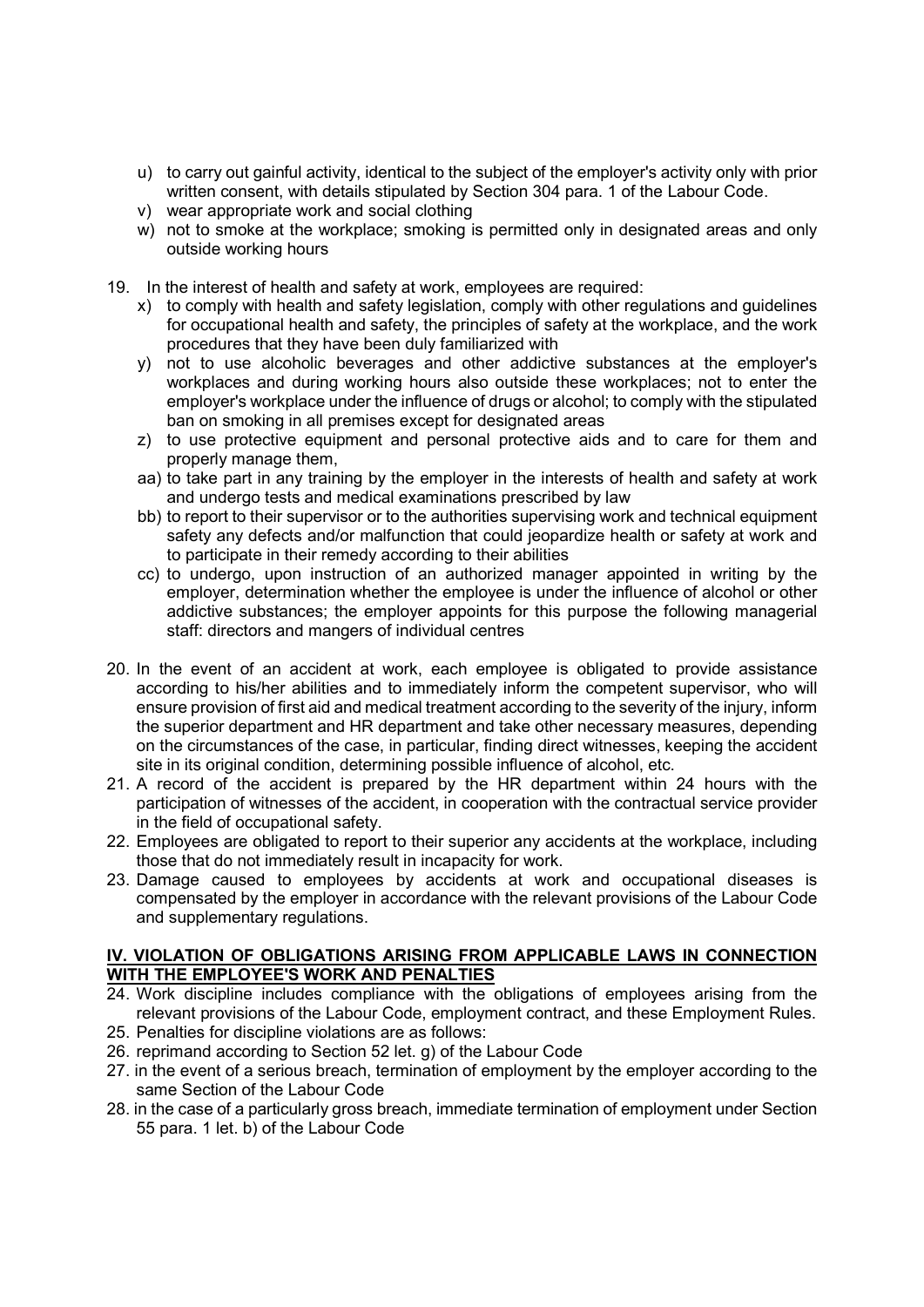- u) to carry out gainful activity, identical to the subject of the employer's activity only with prior written consent, with details stipulated by Section 304 para. 1 of the Labour Code.
- v) wear appropriate work and social clothing
- w) not to smoke at the workplace; smoking is permitted only in designated areas and only outside working hours
- 19. In the interest of health and safety at work, employees are required:
	- x) to comply with health and safety legislation, comply with other regulations and guidelines for occupational health and safety, the principles of safety at the workplace, and the work procedures that they have been duly familiarized with
	- y) not to use alcoholic beverages and other addictive substances at the employer's workplaces and during working hours also outside these workplaces; not to enter the employer's workplace under the influence of drugs or alcohol; to comply with the stipulated ban on smoking in all premises except for designated areas
	- z) to use protective equipment and personal protective aids and to care for them and properly manage them,
	- aa) to take part in any training by the employer in the interests of health and safety at work and undergo tests and medical examinations prescribed by law
	- bb) to report to their supervisor or to the authorities supervising work and technical equipment safety any defects and/or malfunction that could jeopardize health or safety at work and to participate in their remedy according to their abilities
	- cc) to undergo, upon instruction of an authorized manager appointed in writing by the employer, determination whether the employee is under the influence of alcohol or other addictive substances; the employer appoints for this purpose the following managerial staff: directors and mangers of individual centres
- 20. In the event of an accident at work, each employee is obligated to provide assistance according to his/her abilities and to immediately inform the competent supervisor, who will ensure provision of first aid and medical treatment according to the severity of the injury, inform the superior department and HR department and take other necessary measures, depending on the circumstances of the case, in particular, finding direct witnesses, keeping the accident site in its original condition, determining possible influence of alcohol, etc.
- 21. A record of the accident is prepared by the HR department within 24 hours with the participation of witnesses of the accident, in cooperation with the contractual service provider in the field of occupational safety.
- 22. Employees are obligated to report to their superior any accidents at the workplace, including those that do not immediately result in incapacity for work.
- 23. Damage caused to employees by accidents at work and occupational diseases is compensated by the employer in accordance with the relevant provisions of the Labour Code and supplementary regulations.

### IV. VIOLATION OF OBLIGATIONS ARISING FROM APPLICABLE LAWS IN CONNECTION WITH THE EMPLOYEE'S WORK AND PENALTIES

- 24. Work discipline includes compliance with the obligations of employees arising from the relevant provisions of the Labour Code, employment contract, and these Employment Rules.
- 25. Penalties for discipline violations are as follows:
- 26. reprimand according to Section 52 let. g) of the Labour Code
- 27. in the event of a serious breach, termination of employment by the employer according to the same Section of the Labour Code
- 28. in the case of a particularly gross breach, immediate termination of employment under Section 55 para. 1 let. b) of the Labour Code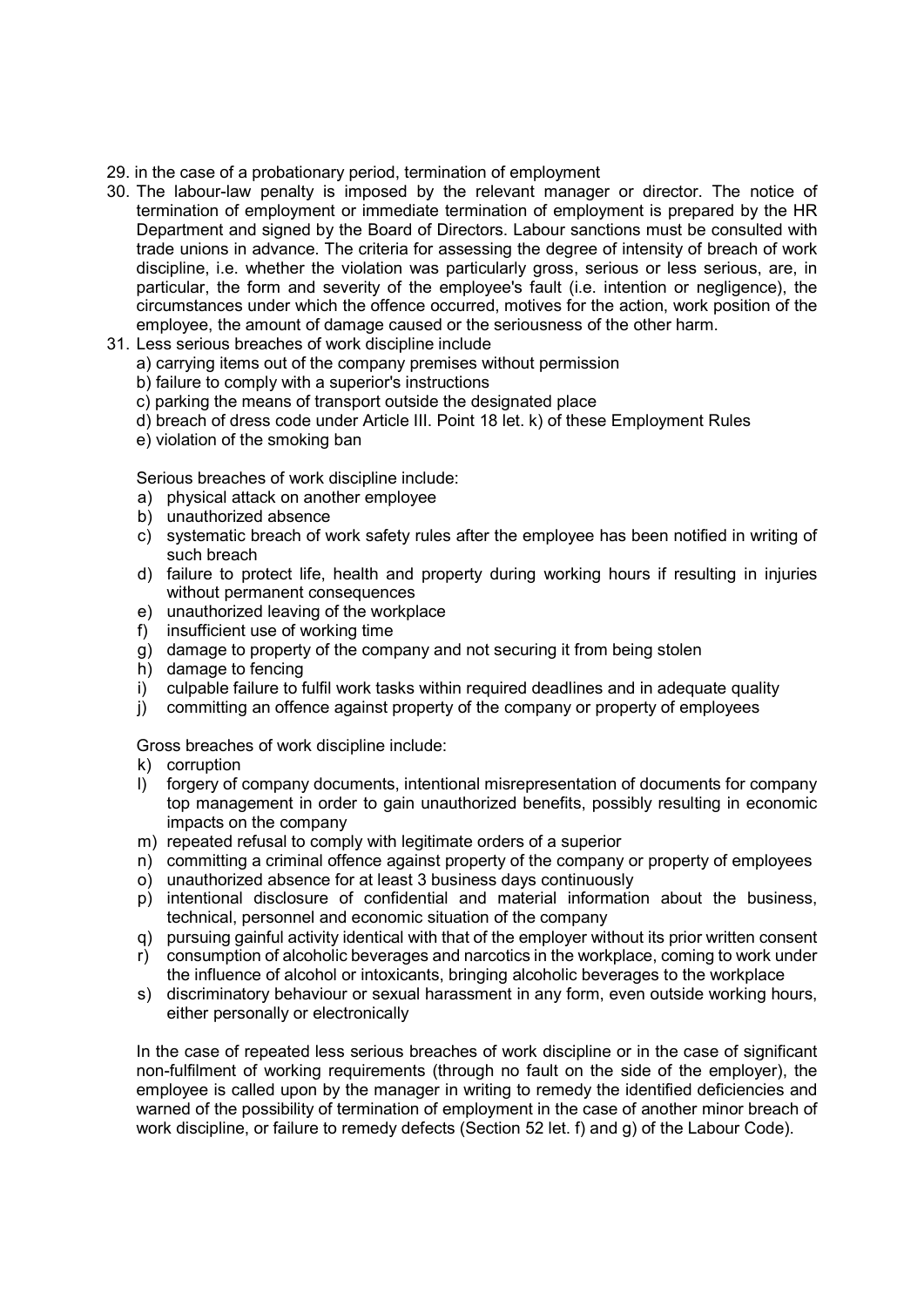- 29. in the case of a probationary period, termination of employment
- 30. The labour-law penalty is imposed by the relevant manager or director. The notice of termination of employment or immediate termination of employment is prepared by the HR Department and signed by the Board of Directors. Labour sanctions must be consulted with trade unions in advance. The criteria for assessing the degree of intensity of breach of work discipline, i.e. whether the violation was particularly gross, serious or less serious, are, in particular, the form and severity of the employee's fault (i.e. intention or negligence), the circumstances under which the offence occurred, motives for the action, work position of the employee, the amount of damage caused or the seriousness of the other harm.
- 31. Less serious breaches of work discipline include
	- a) carrying items out of the company premises without permission
	- b) failure to comply with a superior's instructions
	- c) parking the means of transport outside the designated place
	- d) breach of dress code under Article III. Point 18 let. k) of these Employment Rules
	- e) violation of the smoking ban

Serious breaches of work discipline include:

- a) physical attack on another employee
- b) unauthorized absence
- c) systematic breach of work safety rules after the employee has been notified in writing of such breach
- d) failure to protect life, health and property during working hours if resulting in injuries without permanent consequences
- e) unauthorized leaving of the workplace
- f) insufficient use of working time
- g) damage to property of the company and not securing it from being stolen
- h) damage to fencing
- i) culpable failure to fulfil work tasks within required deadlines and in adequate quality
- j) committing an offence against property of the company or property of employees

Gross breaches of work discipline include:

- k) corruption
- l) forgery of company documents, intentional misrepresentation of documents for company top management in order to gain unauthorized benefits, possibly resulting in economic impacts on the company
- m) repeated refusal to comply with legitimate orders of a superior
- n) committing a criminal offence against property of the company or property of employees
- o) unauthorized absence for at least 3 business days continuously
- p) intentional disclosure of confidential and material information about the business, technical, personnel and economic situation of the company
- q) pursuing gainful activity identical with that of the employer without its prior written consent
- r) consumption of alcoholic beverages and narcotics in the workplace, coming to work under the influence of alcohol or intoxicants, bringing alcoholic beverages to the workplace
- s) discriminatory behaviour or sexual harassment in any form, even outside working hours, either personally or electronically

In the case of repeated less serious breaches of work discipline or in the case of significant non-fulfilment of working requirements (through no fault on the side of the employer), the employee is called upon by the manager in writing to remedy the identified deficiencies and warned of the possibility of termination of employment in the case of another minor breach of work discipline, or failure to remedy defects (Section 52 let. f) and g) of the Labour Code).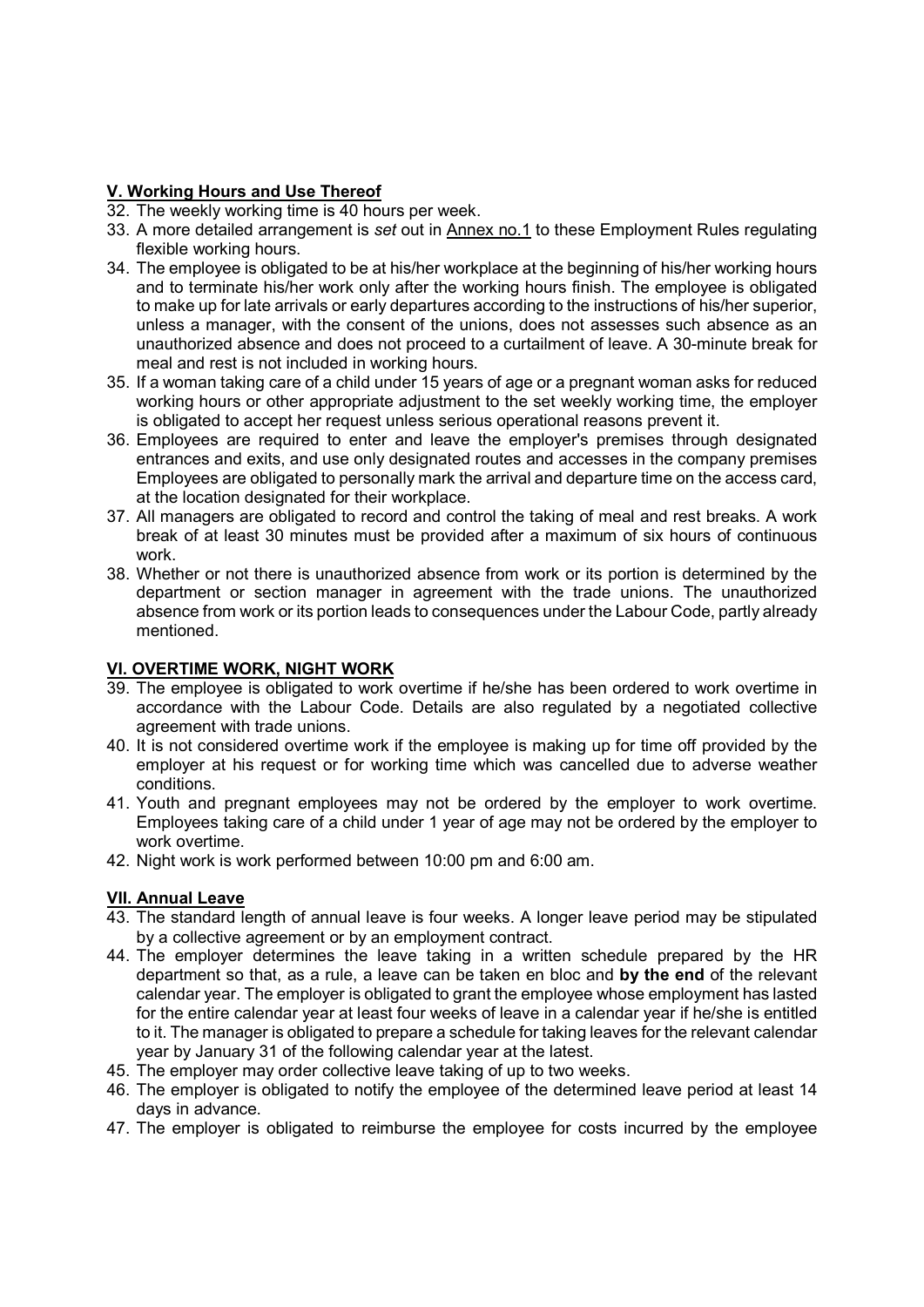### V. Working Hours and Use Thereof

- 32. The weekly working time is 40 hours per week.
- 33. A more detailed arrangement is set out in Annex no.1 to these Employment Rules regulating flexible working hours.
- 34. The employee is obligated to be at his/her workplace at the beginning of his/her working hours and to terminate his/her work only after the working hours finish. The employee is obligated to make up for late arrivals or early departures according to the instructions of his/her superior, unless a manager, with the consent of the unions, does not assesses such absence as an unauthorized absence and does not proceed to a curtailment of leave. A 30-minute break for meal and rest is not included in working hours.
- 35. If a woman taking care of a child under 15 years of age or a pregnant woman asks for reduced working hours or other appropriate adjustment to the set weekly working time, the employer is obligated to accept her request unless serious operational reasons prevent it.
- 36. Employees are required to enter and leave the employer's premises through designated entrances and exits, and use only designated routes and accesses in the company premises Employees are obligated to personally mark the arrival and departure time on the access card, at the location designated for their workplace.
- 37. All managers are obligated to record and control the taking of meal and rest breaks. A work break of at least 30 minutes must be provided after a maximum of six hours of continuous work.
- 38. Whether or not there is unauthorized absence from work or its portion is determined by the department or section manager in agreement with the trade unions. The unauthorized absence from work or its portion leads to consequences under the Labour Code, partly already mentioned.

# VI. OVERTIME WORK, NIGHT WORK

- 39. The employee is obligated to work overtime if he/she has been ordered to work overtime in accordance with the Labour Code. Details are also regulated by a negotiated collective agreement with trade unions.
- 40. It is not considered overtime work if the employee is making up for time off provided by the employer at his request or for working time which was cancelled due to adverse weather conditions.
- 41. Youth and pregnant employees may not be ordered by the employer to work overtime. Employees taking care of a child under 1 year of age may not be ordered by the employer to work overtime.
- 42. Night work is work performed between 10:00 pm and 6:00 am.

# VII. Annual Leave

- 43. The standard length of annual leave is four weeks. A longer leave period may be stipulated by a collective agreement or by an employment contract.
- 44. The employer determines the leave taking in a written schedule prepared by the HR department so that, as a rule, a leave can be taken en bloc and by the end of the relevant calendar year. The employer is obligated to grant the employee whose employment has lasted for the entire calendar year at least four weeks of leave in a calendar year if he/she is entitled to it. The manager is obligated to prepare a schedule for taking leaves for the relevant calendar year by January 31 of the following calendar year at the latest.
- 45. The employer may order collective leave taking of up to two weeks.
- 46. The employer is obligated to notify the employee of the determined leave period at least 14 days in advance.
- 47. The employer is obligated to reimburse the employee for costs incurred by the employee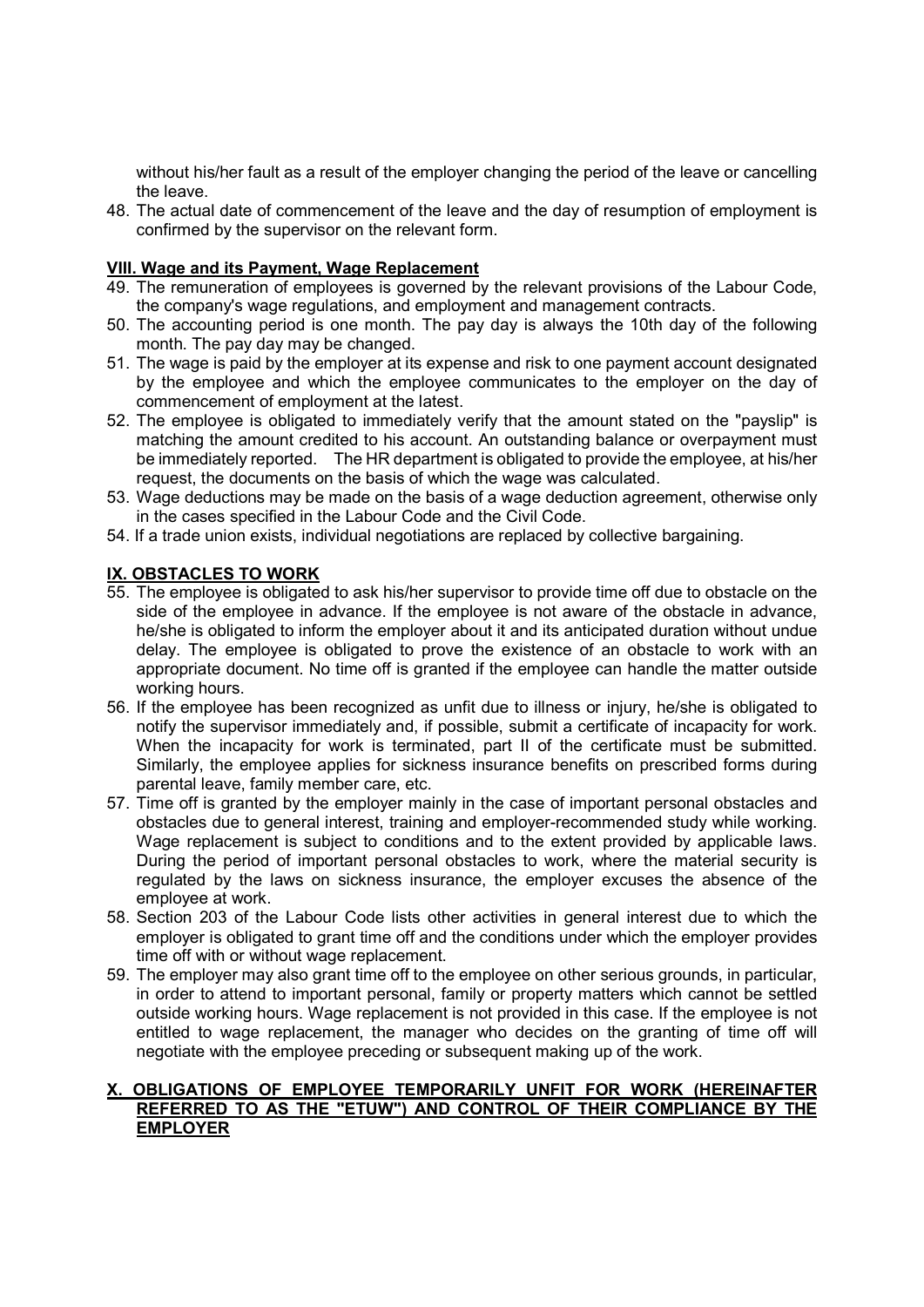without his/her fault as a result of the employer changing the period of the leave or cancelling the leave.

48. The actual date of commencement of the leave and the day of resumption of employment is confirmed by the supervisor on the relevant form.

### VIII. Wage and its Payment, Wage Replacement

- 49. The remuneration of employees is governed by the relevant provisions of the Labour Code, the company's wage regulations, and employment and management contracts.
- 50. The accounting period is one month. The pay day is always the 10th day of the following month. The pay day may be changed.
- 51. The wage is paid by the employer at its expense and risk to one payment account designated by the employee and which the employee communicates to the employer on the day of commencement of employment at the latest.
- 52. The employee is obligated to immediately verify that the amount stated on the "payslip" is matching the amount credited to his account. An outstanding balance or overpayment must be immediately reported. The HR department is obligated to provide the employee, at his/her request, the documents on the basis of which the wage was calculated.
- 53. Wage deductions may be made on the basis of a wage deduction agreement, otherwise only in the cases specified in the Labour Code and the Civil Code.
- 54. If a trade union exists, individual negotiations are replaced by collective bargaining.

# IX. OBSTACLES TO WORK

- 55. The employee is obligated to ask his/her supervisor to provide time off due to obstacle on the side of the employee in advance. If the employee is not aware of the obstacle in advance, he/she is obligated to inform the employer about it and its anticipated duration without undue delay. The employee is obligated to prove the existence of an obstacle to work with an appropriate document. No time off is granted if the employee can handle the matter outside working hours.
- 56. If the employee has been recognized as unfit due to illness or injury, he/she is obligated to notify the supervisor immediately and, if possible, submit a certificate of incapacity for work. When the incapacity for work is terminated, part II of the certificate must be submitted. Similarly, the employee applies for sickness insurance benefits on prescribed forms during parental leave, family member care, etc.
- 57. Time off is granted by the employer mainly in the case of important personal obstacles and obstacles due to general interest, training and employer-recommended study while working. Wage replacement is subject to conditions and to the extent provided by applicable laws. During the period of important personal obstacles to work, where the material security is regulated by the laws on sickness insurance, the employer excuses the absence of the employee at work.
- 58. Section 203 of the Labour Code lists other activities in general interest due to which the employer is obligated to grant time off and the conditions under which the employer provides time off with or without wage replacement.
- 59. The employer may also grant time off to the employee on other serious grounds, in particular, in order to attend to important personal, family or property matters which cannot be settled outside working hours. Wage replacement is not provided in this case. If the employee is not entitled to wage replacement, the manager who decides on the granting of time off will negotiate with the employee preceding or subsequent making up of the work.

### X. OBLIGATIONS OF EMPLOYEE TEMPORARILY UNFIT FOR WORK (HEREINAFTER REFERRED TO AS THE "ETUW") AND CONTROL OF THEIR COMPLIANCE BY THE **EMPLOYER**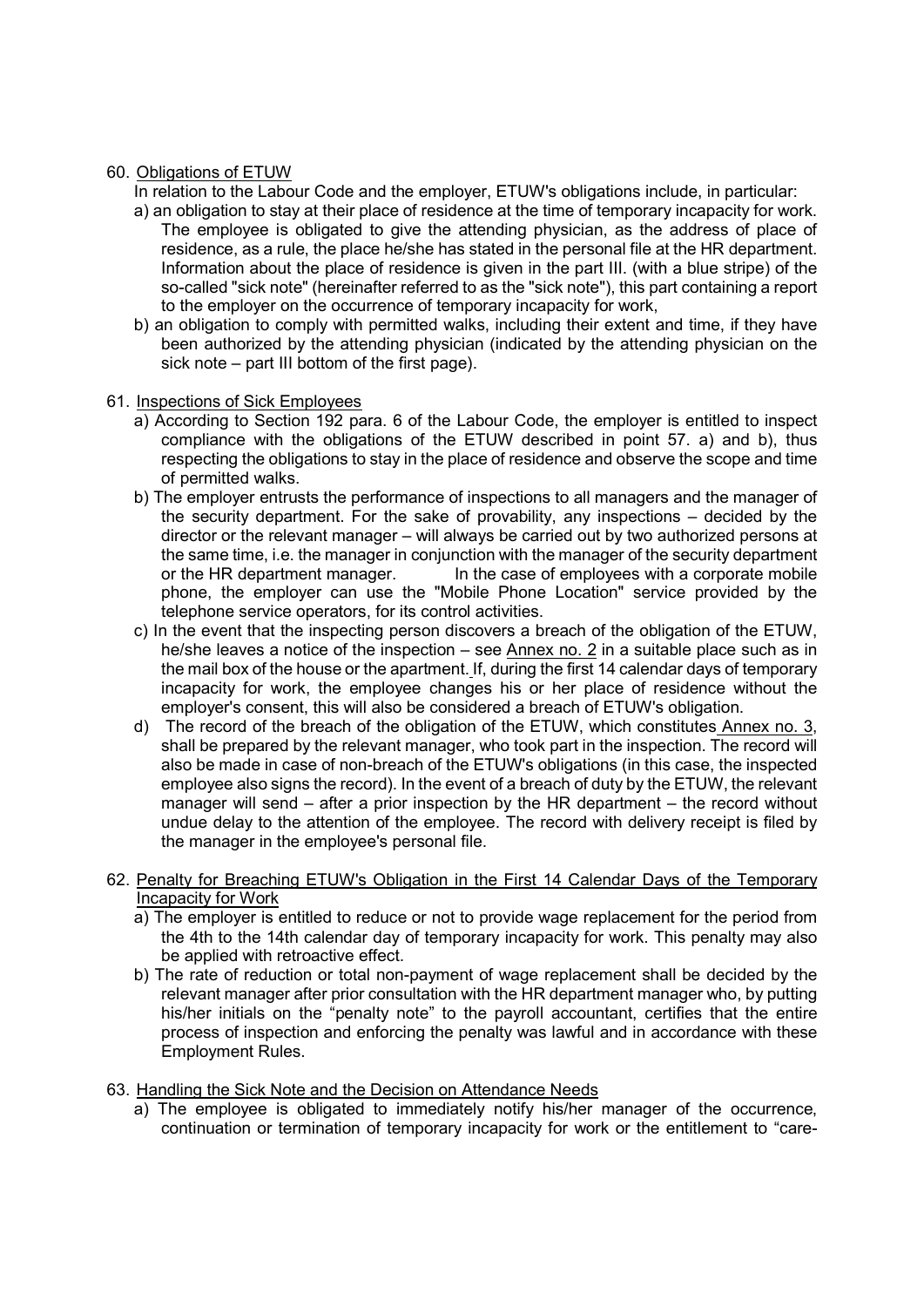### 60. Obligations of ETUW

- In relation to the Labour Code and the employer, ETUW's obligations include, in particular:
- a) an obligation to stay at their place of residence at the time of temporary incapacity for work. The employee is obligated to give the attending physician, as the address of place of residence, as a rule, the place he/she has stated in the personal file at the HR department. Information about the place of residence is given in the part III. (with a blue stripe) of the so-called "sick note" (hereinafter referred to as the "sick note"), this part containing a report to the employer on the occurrence of temporary incapacity for work,
- b) an obligation to comply with permitted walks, including their extent and time, if they have been authorized by the attending physician (indicated by the attending physician on the sick note – part III bottom of the first page).

### 61. Inspections of Sick Employees

- a) According to Section 192 para. 6 of the Labour Code, the employer is entitled to inspect compliance with the obligations of the ETUW described in point 57. a) and b), thus respecting the obligations to stay in the place of residence and observe the scope and time of permitted walks.
- b) The employer entrusts the performance of inspections to all managers and the manager of the security department. For the sake of provability, any inspections – decided by the director or the relevant manager – will always be carried out by two authorized persons at the same time, i.e. the manager in conjunction with the manager of the security department or the HR department manager. In the case of employees with a corporate mobile phone, the employer can use the "Mobile Phone Location" service provided by the telephone service operators, for its control activities.
- c) In the event that the inspecting person discovers a breach of the obligation of the ETUW, he/she leaves a notice of the inspection – see  $\Delta$ nnex no. 2 in a suitable place such as in the mail box of the house or the apartment. If, during the first 14 calendar days of temporary incapacity for work, the employee changes his or her place of residence without the employer's consent, this will also be considered a breach of ETUW's obligation.
- d) The record of the breach of the obligation of the ETUW, which constitutes Annex no. 3, shall be prepared by the relevant manager, who took part in the inspection. The record will also be made in case of non-breach of the ETUW's obligations (in this case, the inspected employee also signs the record). In the event of a breach of duty by the ETUW, the relevant manager will send – after a prior inspection by the HR department – the record without undue delay to the attention of the employee. The record with delivery receipt is filed by the manager in the employee's personal file.

### 62. Penalty for Breaching ETUW's Obligation in the First 14 Calendar Days of the Temporary Incapacity for Work

- a) The employer is entitled to reduce or not to provide wage replacement for the period from the 4th to the 14th calendar day of temporary incapacity for work. This penalty may also be applied with retroactive effect.
- b) The rate of reduction or total non-payment of wage replacement shall be decided by the relevant manager after prior consultation with the HR department manager who, by putting his/her initials on the "penalty note" to the payroll accountant, certifies that the entire process of inspection and enforcing the penalty was lawful and in accordance with these Employment Rules.

### 63. Handling the Sick Note and the Decision on Attendance Needs

a) The employee is obligated to immediately notify his/her manager of the occurrence, continuation or termination of temporary incapacity for work or the entitlement to "care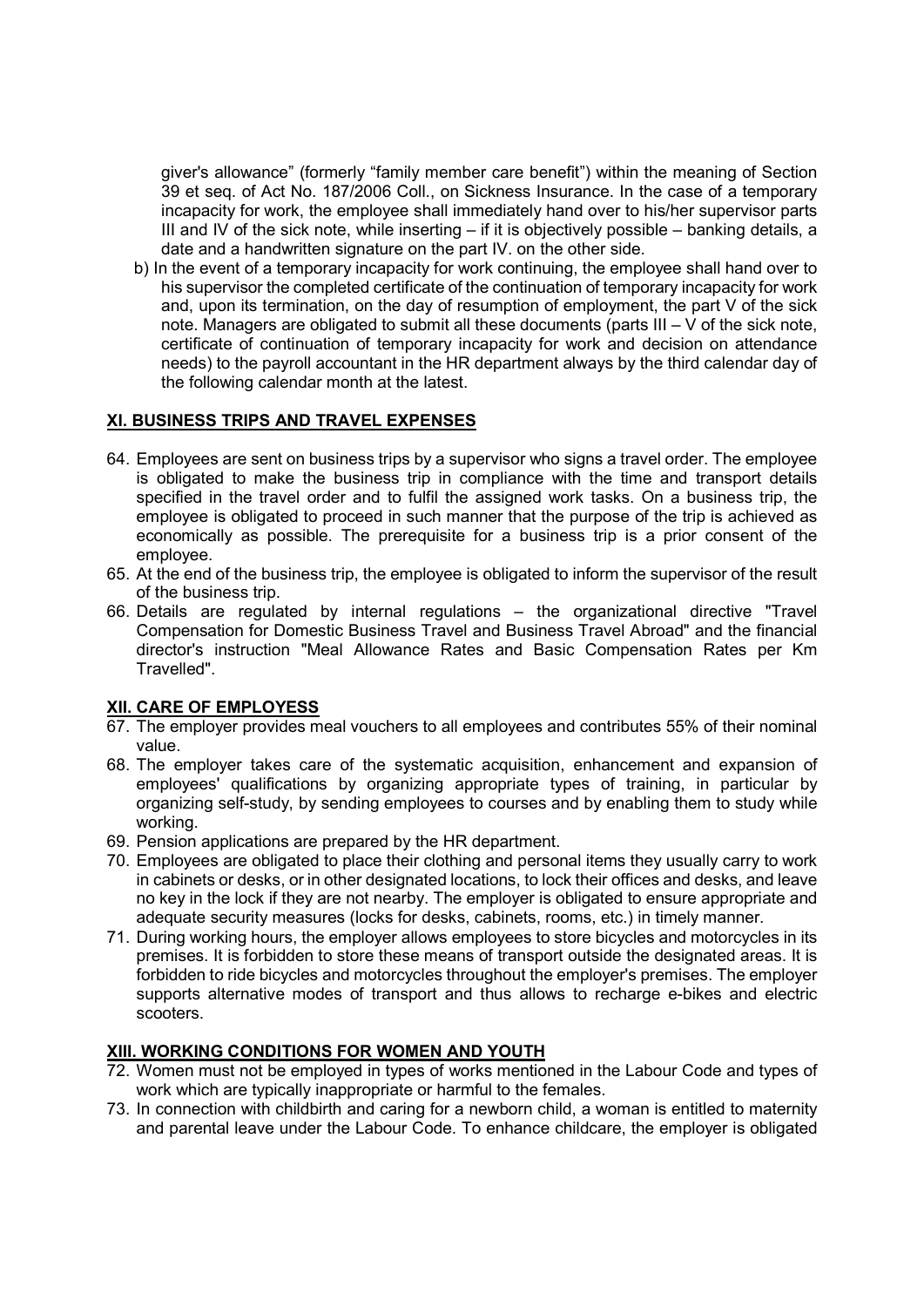giver's allowance" (formerly "family member care benefit") within the meaning of Section 39 et seq. of Act No. 187/2006 Coll., on Sickness Insurance. In the case of a temporary incapacity for work, the employee shall immediately hand over to his/her supervisor parts III and IV of the sick note, while inserting  $-$  if it is objectively possible  $-$  banking details, a date and a handwritten signature on the part IV. on the other side.

b) In the event of a temporary incapacity for work continuing, the employee shall hand over to his supervisor the completed certificate of the continuation of temporary incapacity for work and, upon its termination, on the day of resumption of employment, the part V of the sick note. Managers are obligated to submit all these documents (parts III – V of the sick note, certificate of continuation of temporary incapacity for work and decision on attendance needs) to the payroll accountant in the HR department always by the third calendar day of the following calendar month at the latest.

# XI. BUSINESS TRIPS AND TRAVEL EXPENSES

- 64. Employees are sent on business trips by a supervisor who signs a travel order. The employee is obligated to make the business trip in compliance with the time and transport details specified in the travel order and to fulfil the assigned work tasks. On a business trip, the employee is obligated to proceed in such manner that the purpose of the trip is achieved as economically as possible. The prerequisite for a business trip is a prior consent of the employee.
- 65. At the end of the business trip, the employee is obligated to inform the supervisor of the result of the business trip.
- 66. Details are regulated by internal regulations the organizational directive "Travel Compensation for Domestic Business Travel and Business Travel Abroad" and the financial director's instruction "Meal Allowance Rates and Basic Compensation Rates per Km Travelled".

# XII. CARE OF EMPLOYESS

- 67. The employer provides meal vouchers to all employees and contributes 55% of their nominal value.
- 68. The employer takes care of the systematic acquisition, enhancement and expansion of employees' qualifications by organizing appropriate types of training, in particular by organizing self-study, by sending employees to courses and by enabling them to study while working.
- 69. Pension applications are prepared by the HR department.
- 70. Employees are obligated to place their clothing and personal items they usually carry to work in cabinets or desks, or in other designated locations, to lock their offices and desks, and leave no key in the lock if they are not nearby. The employer is obligated to ensure appropriate and adequate security measures (locks for desks, cabinets, rooms, etc.) in timely manner.
- 71. During working hours, the employer allows employees to store bicycles and motorcycles in its premises. It is forbidden to store these means of transport outside the designated areas. It is forbidden to ride bicycles and motorcycles throughout the employer's premises. The employer supports alternative modes of transport and thus allows to recharge e-bikes and electric scooters.

# XIII. WORKING CONDITIONS FOR WOMEN AND YOUTH

- 72. Women must not be employed in types of works mentioned in the Labour Code and types of work which are typically inappropriate or harmful to the females.
- 73. In connection with childbirth and caring for a newborn child, a woman is entitled to maternity and parental leave under the Labour Code. To enhance childcare, the employer is obligated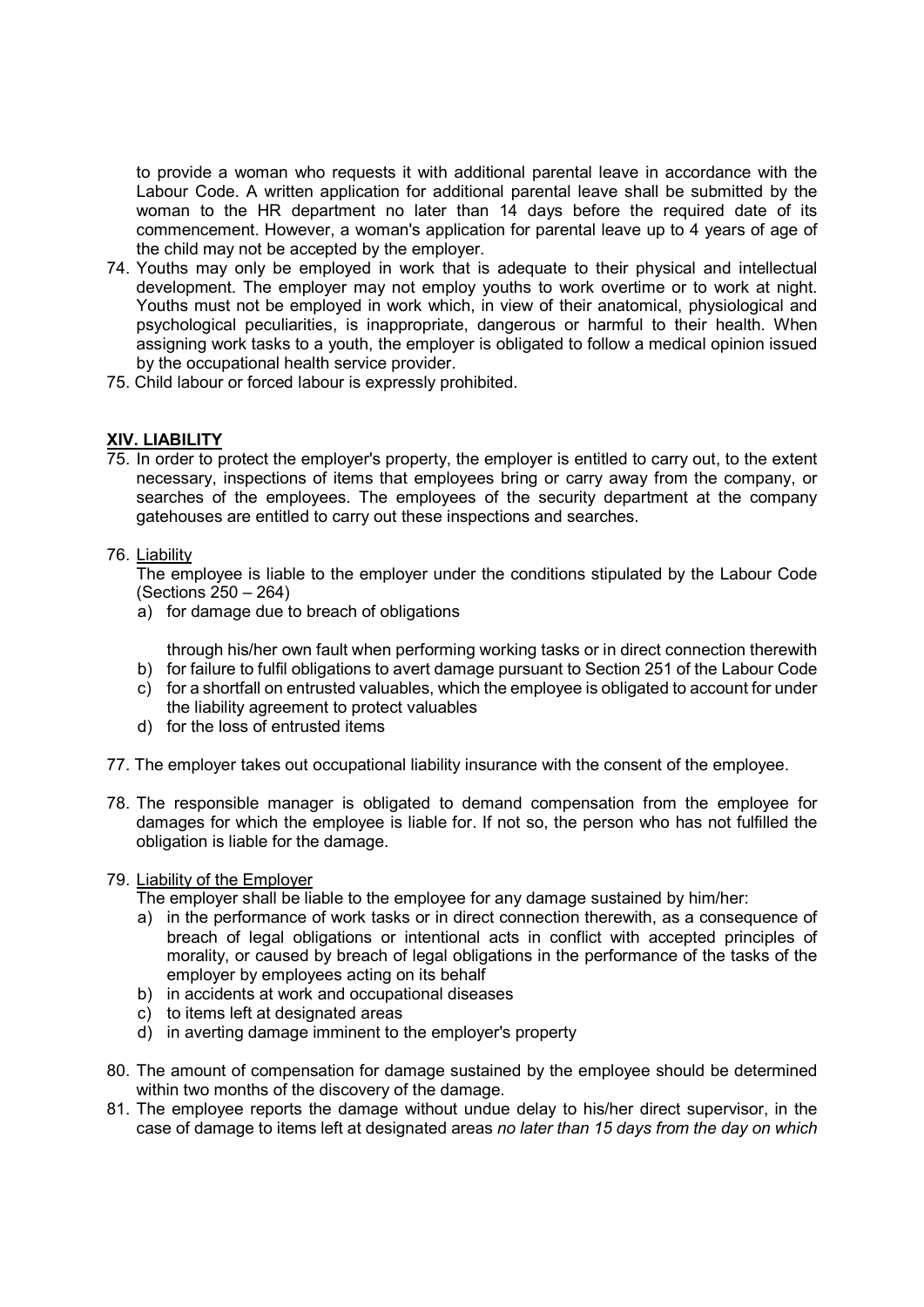to provide a woman who requests it with additional parental leave in accordance with the Labour Code. A written application for additional parental leave shall be submitted by the woman to the HR department no later than 14 days before the required date of its commencement. However, a woman's application for parental leave up to 4 years of age of the child may not be accepted by the employer.

- 74. Youths may only be employed in work that is adequate to their physical and intellectual development. The employer may not employ youths to work overtime or to work at night. Youths must not be employed in work which, in view of their anatomical, physiological and psychological peculiarities, is inappropriate, dangerous or harmful to their health. When assigning work tasks to a youth, the employer is obligated to follow a medical opinion issued by the occupational health service provider.
- 75. Child labour or forced labour is expressly prohibited.

# XIV. LIABILITY

75. In order to protect the employer's property, the employer is entitled to carry out, to the extent necessary, inspections of items that employees bring or carry away from the company, or searches of the employees. The employees of the security department at the company gatehouses are entitled to carry out these inspections and searches.

### 76. Liability

The employee is liable to the employer under the conditions stipulated by the Labour Code (Sections 250 – 264)

a) for damage due to breach of obligations

through his/her own fault when performing working tasks or in direct connection therewith

- b) for failure to fulfil obligations to avert damage pursuant to Section 251 of the Labour Code c) for a shortfall on entrusted valuables, which the employee is obligated to account for under
- the liability agreement to protect valuables d) for the loss of entrusted items
- 77. The employer takes out occupational liability insurance with the consent of the employee.
- 78. The responsible manager is obligated to demand compensation from the employee for damages for which the employee is liable for. If not so, the person who has not fulfilled the obligation is liable for the damage.

### 79. Liability of the Employer

The employer shall be liable to the employee for any damage sustained by him/her:

- a) in the performance of work tasks or in direct connection therewith, as a consequence of breach of legal obligations or intentional acts in conflict with accepted principles of morality, or caused by breach of legal obligations in the performance of the tasks of the employer by employees acting on its behalf
- b) in accidents at work and occupational diseases
- c) to items left at designated areas
- d) in averting damage imminent to the employer's property
- 80. The amount of compensation for damage sustained by the employee should be determined within two months of the discovery of the damage.
- 81. The employee reports the damage without undue delay to his/her direct supervisor, in the case of damage to items left at designated areas no later than 15 days from the day on which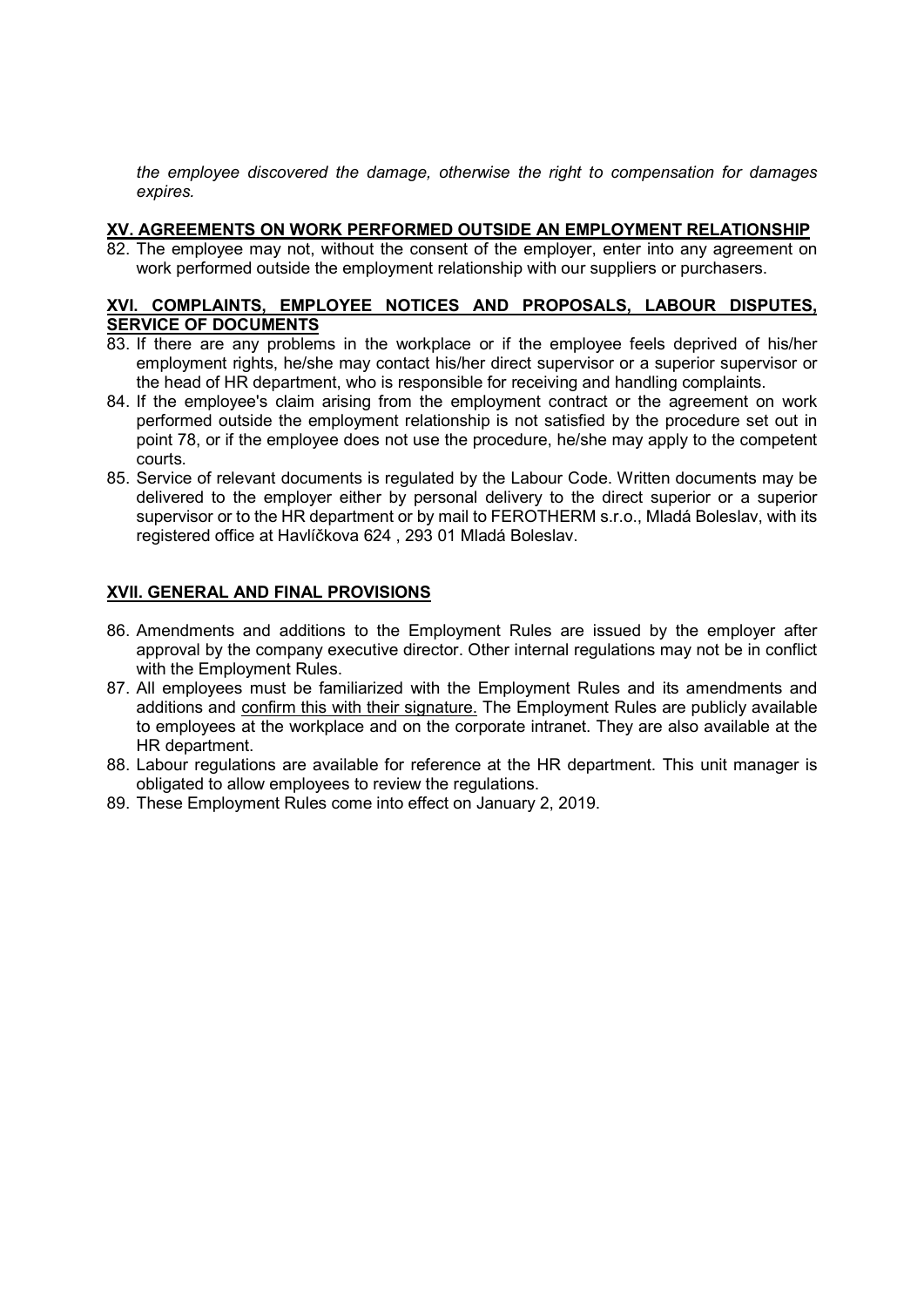the employee discovered the damage, otherwise the right to compensation for damages expires.

### XV. AGREEMENTS ON WORK PERFORMED OUTSIDE AN EMPLOYMENT RELATIONSHIP

82. The employee may not, without the consent of the employer, enter into any agreement on work performed outside the employment relationship with our suppliers or purchasers.

#### XVI. COMPLAINTS, EMPLOYEE NOTICES AND PROPOSALS, LABOUR DISPUTES, SERVICE OF DOCUMENTS

- 83. If there are any problems in the workplace or if the employee feels deprived of his/her employment rights, he/she may contact his/her direct supervisor or a superior supervisor or the head of HR department, who is responsible for receiving and handling complaints.
- 84. If the employee's claim arising from the employment contract or the agreement on work performed outside the employment relationship is not satisfied by the procedure set out in point 78, or if the employee does not use the procedure, he/she may apply to the competent courts.
- 85. Service of relevant documents is regulated by the Labour Code. Written documents may be delivered to the employer either by personal delivery to the direct superior or a superior supervisor or to the HR department or by mail to FEROTHERM s.r.o., Mladá Boleslav, with its registered office at Havlíčkova 624 , 293 01 Mladá Boleslav.

# XVII. GENERAL AND FINAL PROVISIONS

- 86. Amendments and additions to the Employment Rules are issued by the employer after approval by the company executive director. Other internal regulations may not be in conflict with the Employment Rules.
- 87. All employees must be familiarized with the Employment Rules and its amendments and additions and confirm this with their signature. The Employment Rules are publicly available to employees at the workplace and on the corporate intranet. They are also available at the HR department.
- 88. Labour regulations are available for reference at the HR department. This unit manager is obligated to allow employees to review the regulations.
- 89. These Employment Rules come into effect on January 2, 2019.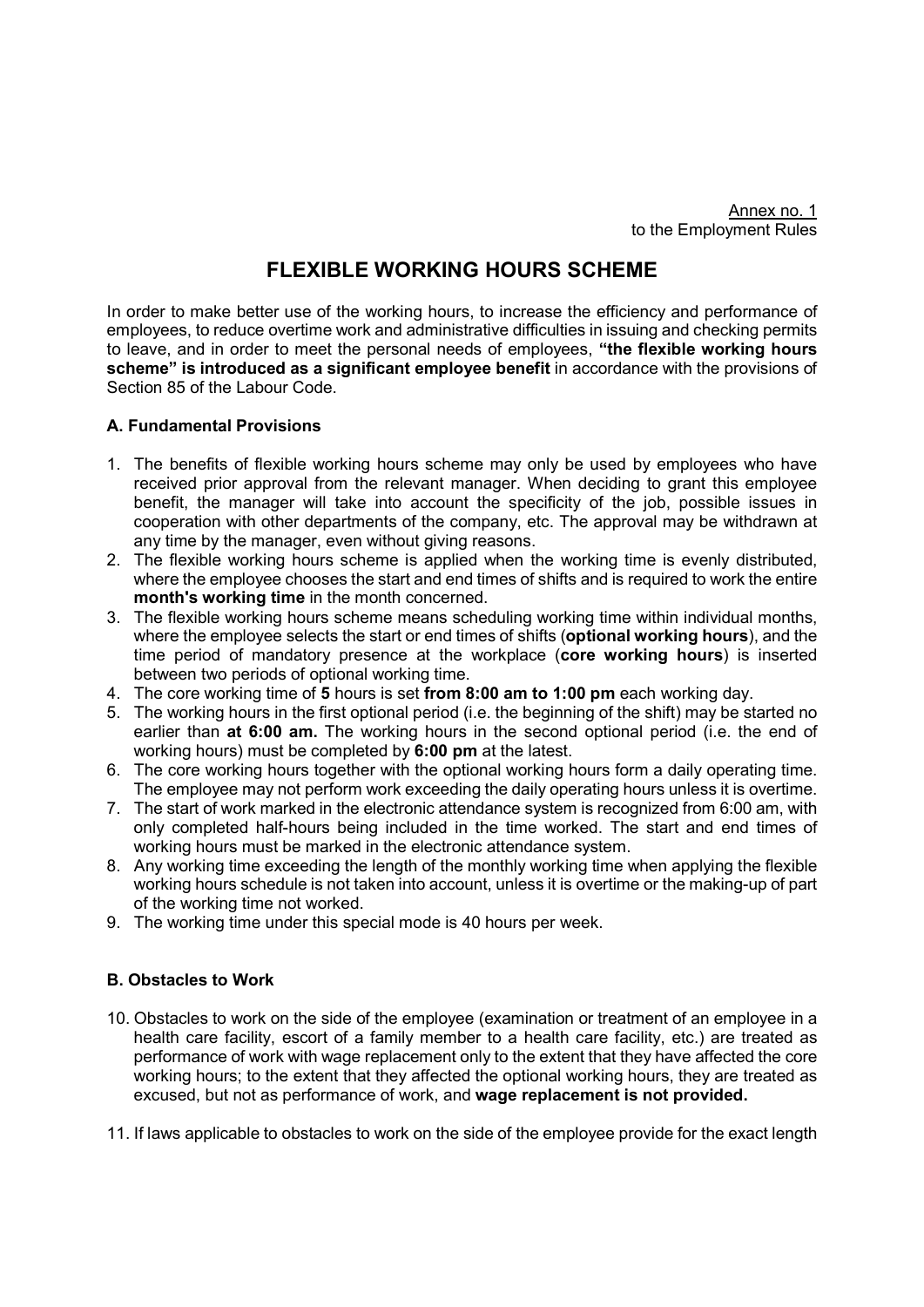# FLEXIBLE WORKING HOURS SCHEME

In order to make better use of the working hours, to increase the efficiency and performance of employees, to reduce overtime work and administrative difficulties in issuing and checking permits to leave, and in order to meet the personal needs of employees, "the flexible working hours scheme" is introduced as a significant employee benefit in accordance with the provisions of Section 85 of the Labour Code.

### A. Fundamental Provisions

- 1. The benefits of flexible working hours scheme may only be used by employees who have received prior approval from the relevant manager. When deciding to grant this employee benefit, the manager will take into account the specificity of the job, possible issues in cooperation with other departments of the company, etc. The approval may be withdrawn at any time by the manager, even without giving reasons.
- 2. The flexible working hours scheme is applied when the working time is evenly distributed, where the employee chooses the start and end times of shifts and is required to work the entire month's working time in the month concerned.
- 3. The flexible working hours scheme means scheduling working time within individual months, where the employee selects the start or end times of shifts (optional working hours), and the time period of mandatory presence at the workplace (core working hours) is inserted between two periods of optional working time.
- 4. The core working time of 5 hours is set from 8:00 am to 1:00 pm each working day.
- 5. The working hours in the first optional period (i.e. the beginning of the shift) may be started no earlier than at 6:00 am. The working hours in the second optional period (i.e. the end of working hours) must be completed by 6:00 pm at the latest.
- 6. The core working hours together with the optional working hours form a daily operating time. The employee may not perform work exceeding the daily operating hours unless it is overtime.
- 7. The start of work marked in the electronic attendance system is recognized from 6:00 am, with only completed half-hours being included in the time worked. The start and end times of working hours must be marked in the electronic attendance system.
- 8. Any working time exceeding the length of the monthly working time when applying the flexible working hours schedule is not taken into account, unless it is overtime or the making-up of part of the working time not worked.
- 9. The working time under this special mode is 40 hours per week.

# B. Obstacles to Work

- 10. Obstacles to work on the side of the employee (examination or treatment of an employee in a health care facility, escort of a family member to a health care facility, etc.) are treated as performance of work with wage replacement only to the extent that they have affected the core working hours; to the extent that they affected the optional working hours, they are treated as excused, but not as performance of work, and wage replacement is not provided.
- 11. If laws applicable to obstacles to work on the side of the employee provide for the exact length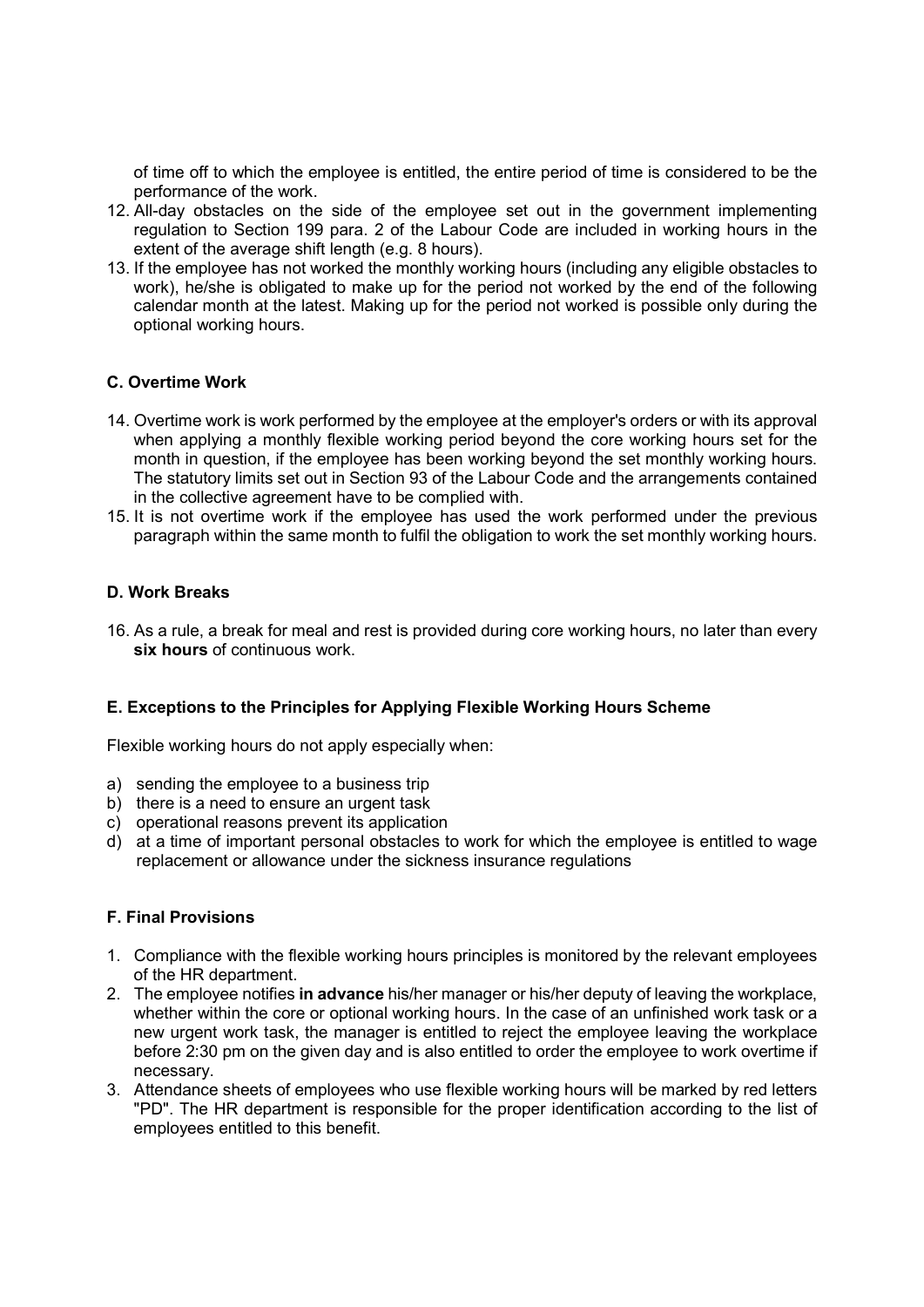of time off to which the employee is entitled, the entire period of time is considered to be the performance of the work.

- 12. All-day obstacles on the side of the employee set out in the government implementing regulation to Section 199 para. 2 of the Labour Code are included in working hours in the extent of the average shift length (e.g. 8 hours).
- 13. If the employee has not worked the monthly working hours (including any eligible obstacles to work), he/she is obligated to make up for the period not worked by the end of the following calendar month at the latest. Making up for the period not worked is possible only during the optional working hours.

# C. Overtime Work

- 14. Overtime work is work performed by the employee at the employer's orders or with its approval when applying a monthly flexible working period beyond the core working hours set for the month in question, if the employee has been working beyond the set monthly working hours. The statutory limits set out in Section 93 of the Labour Code and the arrangements contained in the collective agreement have to be complied with.
- 15. It is not overtime work if the employee has used the work performed under the previous paragraph within the same month to fulfil the obligation to work the set monthly working hours.

### D. Work Breaks

16. As a rule, a break for meal and rest is provided during core working hours, no later than every six hours of continuous work.

### E. Exceptions to the Principles for Applying Flexible Working Hours Scheme

Flexible working hours do not apply especially when:

- a) sending the employee to a business trip
- b) there is a need to ensure an urgent task
- c) operational reasons prevent its application
- d) at a time of important personal obstacles to work for which the employee is entitled to wage replacement or allowance under the sickness insurance regulations

### F. Final Provisions

- 1. Compliance with the flexible working hours principles is monitored by the relevant employees of the HR department.
- 2. The employee notifies in advance his/her manager or his/her deputy of leaving the workplace, whether within the core or optional working hours. In the case of an unfinished work task or a new urgent work task, the manager is entitled to reject the employee leaving the workplace before 2:30 pm on the given day and is also entitled to order the employee to work overtime if necessary.
- 3. Attendance sheets of employees who use flexible working hours will be marked by red letters "PD". The HR department is responsible for the proper identification according to the list of employees entitled to this benefit.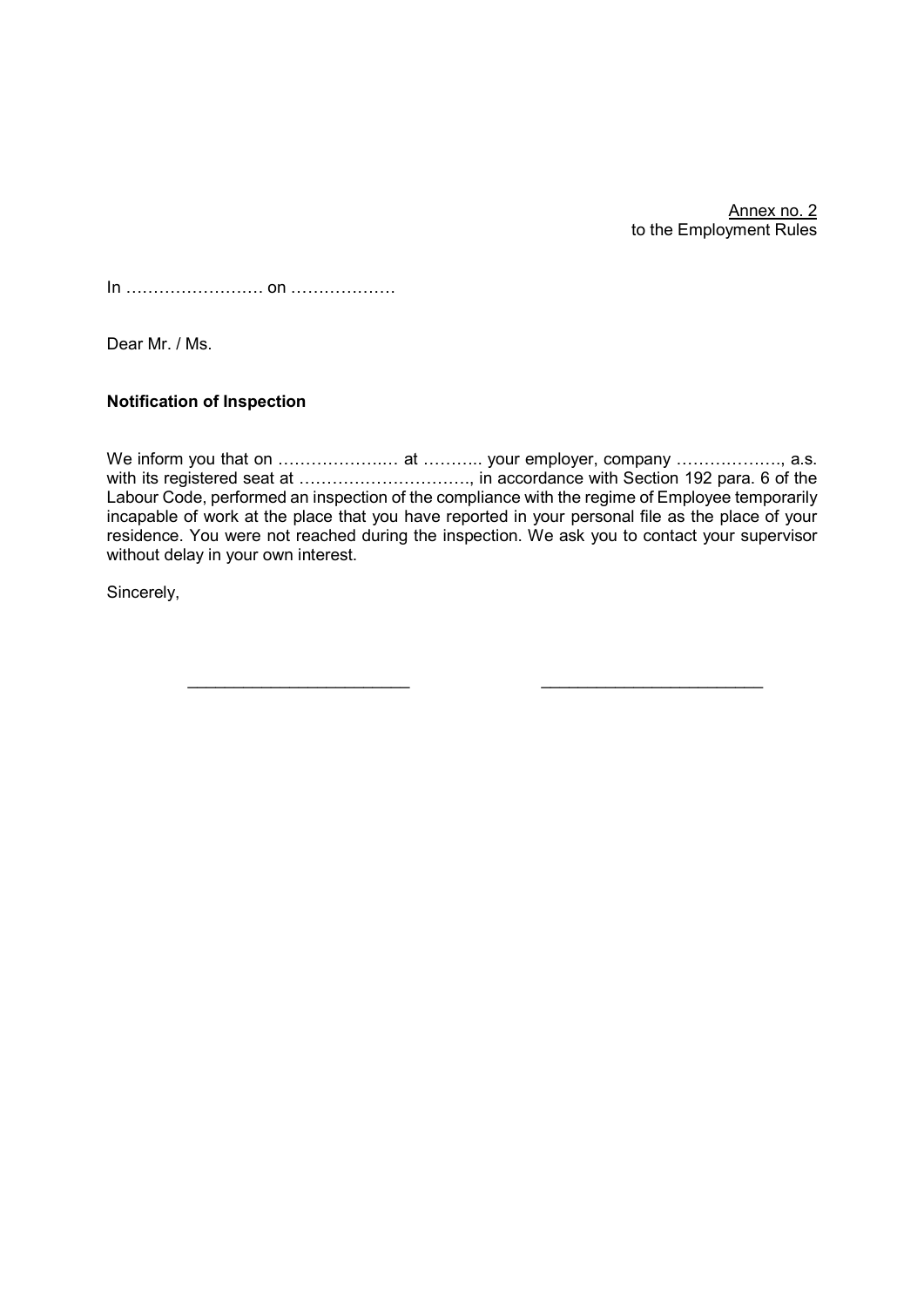Annex no. 2 to the Employment Rules

In ……………………. on ……………….

Dear Mr. / Ms.

# Notification of Inspection

We inform you that on …………………………………… your employer, company ……………………, a.s. with its registered seat at ……………………………………… in accordance with Section 192 para. 6 of the Labour Code, performed an inspection of the compliance with the regime of Employee temporarily incapable of work at the place that you have reported in your personal file as the place of your residence. You were not reached during the inspection. We ask you to contact your supervisor without delay in your own interest.

Sincerely,